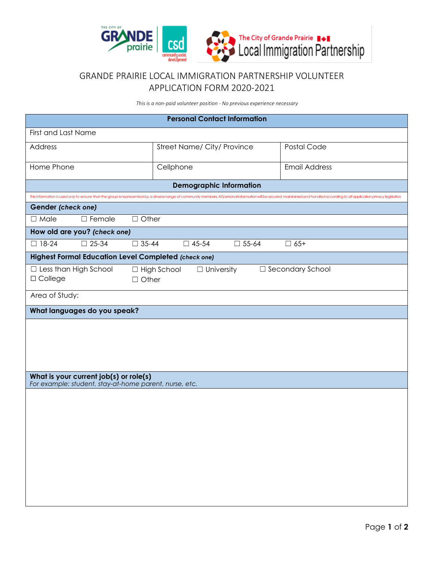

## GRANDE PRAIRIE LOCAL IMMIGRATION PARTNERSHIP VOLUNTEER APPLICATION FORM 2020-2021

*This is a non-paid volunteer position - No previous experience necessary*

| <b>Personal Contact Information</b>                                                                                                                                                                                            |              |                                    |                      |  |  |
|--------------------------------------------------------------------------------------------------------------------------------------------------------------------------------------------------------------------------------|--------------|------------------------------------|----------------------|--|--|
| First and Last Name                                                                                                                                                                                                            |              |                                    |                      |  |  |
| Address                                                                                                                                                                                                                        |              | Street Name/ City/ Province        | Postal Code          |  |  |
| Home Phone                                                                                                                                                                                                                     |              | Cellphone                          | <b>Email Address</b> |  |  |
| <b>Demographic Information</b>                                                                                                                                                                                                 |              |                                    |                      |  |  |
| This information is used only to ensure that the group is represented by a diverse range of community members. All personal information will be secured, maintained and handled according to all application privacy legislati |              |                                    |                      |  |  |
| Gender (check one)                                                                                                                                                                                                             |              |                                    |                      |  |  |
| $\Box$ Female<br>$\Box$ Male                                                                                                                                                                                                   | $\Box$ Other |                                    |                      |  |  |
| How old are you? (check one)                                                                                                                                                                                                   |              |                                    |                      |  |  |
| $\Box$ 18-24<br>$\square$ 25-34                                                                                                                                                                                                | $\Box$ 35-44 | $\Box$ 45-54<br>$\Box$ 55-64       | $\Box$ 65+           |  |  |
| <b>Highest Formal Education Level Completed (check one)</b>                                                                                                                                                                    |              |                                    |                      |  |  |
| $\Box$ Less than High School                                                                                                                                                                                                   |              | $\Box$ University<br>□ High School | □ Secondary School   |  |  |
| □ College                                                                                                                                                                                                                      | $\Box$ Other |                                    |                      |  |  |
| Area of Study:                                                                                                                                                                                                                 |              |                                    |                      |  |  |
| What languages do you speak?                                                                                                                                                                                                   |              |                                    |                      |  |  |
|                                                                                                                                                                                                                                |              |                                    |                      |  |  |
|                                                                                                                                                                                                                                |              |                                    |                      |  |  |
|                                                                                                                                                                                                                                |              |                                    |                      |  |  |
|                                                                                                                                                                                                                                |              |                                    |                      |  |  |
| What is your current job(s) or role(s)<br>For example: student, stay-at-home parent, nurse, etc.                                                                                                                               |              |                                    |                      |  |  |
|                                                                                                                                                                                                                                |              |                                    |                      |  |  |
|                                                                                                                                                                                                                                |              |                                    |                      |  |  |
|                                                                                                                                                                                                                                |              |                                    |                      |  |  |
|                                                                                                                                                                                                                                |              |                                    |                      |  |  |
|                                                                                                                                                                                                                                |              |                                    |                      |  |  |
|                                                                                                                                                                                                                                |              |                                    |                      |  |  |
|                                                                                                                                                                                                                                |              |                                    |                      |  |  |
|                                                                                                                                                                                                                                |              |                                    |                      |  |  |
|                                                                                                                                                                                                                                |              |                                    |                      |  |  |
|                                                                                                                                                                                                                                |              |                                    |                      |  |  |